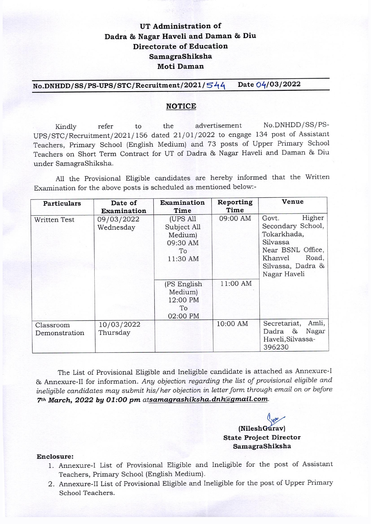# UT Administration of Dadra & Nagar Haveli and Daman & Diu **Directorate of Education** SamagraShiksha **Moti Daman**

No.DNHDD/SS/PS-UPS/STC/Recruitment/2021/544 Date 04/03/2022

#### **NOTICE**

No.DNHDD/SS/PSadvertisement Kindly refer to the UPS/STC/Recruitment/2021/156 dated 21/01/2022 to engage 134 post of Assistant Teachers, Primary School (English Medium) and 73 posts of Upper Primary School Teachers on Short Term Contract for UT of Dadra & Nagar Haveli and Daman & Diu under SamagraShiksha.

All the Provisional Eligible candidates are hereby informed that the Written Examination for the above posts is scheduled as mentioned below:-

| <b>Particulars</b>         | Date of                                | Examination                                                              | Reporting<br>Time | Venue                                                                                                                                         |
|----------------------------|----------------------------------------|--------------------------------------------------------------------------|-------------------|-----------------------------------------------------------------------------------------------------------------------------------------------|
| Written Test               | Examination<br>09/03/2022<br>Wednesday | Time<br>(UPS All<br>Subject All<br>Medium)<br>09:30 AM<br>To<br>11:30 AM | 09:00 AM          | Higher<br>Govt.<br>Secondary School,<br>Tokarkhada,<br>Silvassa<br>Near BSNL Office,<br>Road,<br>Khanvel<br>Silvassa, Dadra &<br>Nagar Haveli |
|                            |                                        | (PS English<br>Medium)<br>12:00 PM<br>To<br>02:00 PM                     | 11:00 AM          |                                                                                                                                               |
| Classroom<br>Demonstration | 10/03/2022<br>Thursday                 |                                                                          | 10:00 AM          | Amli,<br>Secretariat,<br>Nagar<br>Dadra &<br>Haveli, Silvassa-<br>396230                                                                      |

The List of Provisional Eligible and Ineligible candidate is attached as Annexure-I & Annexure-II for information. Any objection regarding the list of provisional eligible and ineligible candidates may submit his/her objection in letter form through email on or before 7th March, 2022 by 01:00 pm atsamagrashiksha.dnh@gmail.com.

> (NileshGurav) **State Project Director** SamagraShiksha

#### Enclosure:

- 1. Annexure-I List of Provisional Eligible and Ineligible for the post of Assistant Teachers, Primary School (English Medium).
- 2. Annexure-II List of Provisional Eligible and Ineligible for the post of Upper Primary School Teachers.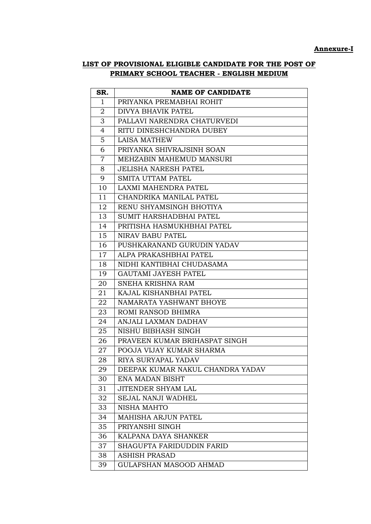### **Annexure-I**

# **LIST OF PROVISIONAL ELIGIBLE CANDIDATE FOR THE POST OF PRIMARY SCHOOL TEACHER - ENGLISH MEDIUM**

| SR.            | <b>NAME OF CANDIDATE</b>         |
|----------------|----------------------------------|
| $\mathbf{1}$   | PRIYANKA PREMABHAI ROHIT         |
| 2              | DIVYA BHAVIK PATEL               |
| 3              | PALLAVI NARENDRA CHATURVEDI      |
| $\overline{4}$ | RITU DINESHCHANDRA DUBEY         |
| $\overline{5}$ | <b>LAISA MATHEW</b>              |
| 6              | PRIYANKA SHIVRAJSINH SOAN        |
| $\overline{7}$ | MEHZABIN MAHEMUD MANSURI         |
| 8              | <b>JELISHA NARESH PATEL</b>      |
| 9              | <b>SMITA UTTAM PATEL</b>         |
| 10             | LAXMI MAHENDRA PATEL             |
| 11             | CHANDRIKA MANILAL PATEL          |
| 12             | RENU SHYAMSINGH BHOTIYA          |
| 13             | <b>SUMIT HARSHADBHAI PATEL</b>   |
| 14             | PRITISHA HASMUKHBHAI PATEL       |
| 15             | NIRAV BABU PATEL                 |
| 16             | PUSHKARANAND GURUDIN YADAV       |
| 17             | ALPA PRAKASHBHAI PATEL           |
| 18             | NIDHI KANTIBHAI CHUDASAMA        |
| 19             | <b>GAUTAMI JAYESH PATEL</b>      |
| 20             | SNEHA KRISHNA RAM                |
| 21             | KAJAL KISHANBHAI PATEL           |
| 22             | NAMARATA YASHWANT BHOYE          |
| 23             | ROMI RANSOD BHIMRA               |
| 24             | ANJALI LAXMAN DADHAV             |
| 25             | NISHU BIBHASH SINGH              |
| 26             | PRAVEEN KUMAR BRIHASPAT SINGH    |
| 27             | POOJA VIJAY KUMAR SHARMA         |
| 28             | RIYA SURYAPAL YADAV              |
| 29             | DEEPAK KUMAR NAKUL CHANDRA YADAV |
| 30             | ENA MADAN BISHT                  |
| 31             | JITENDER SHYAM LAL               |
| 32             | <b>SEJAL NANJI WADHEL</b>        |
| 33             | <b>NISHA MAHTO</b>               |
| 34             | <b>MAHISHA ARJUN PATEL</b>       |
| 35             | PRIYANSHI SINGH                  |
| 36             | KALPANA DAYA SHANKER             |
| 37             | SHAGUFTA FARIDUDDIN FARID        |
| 38             | <b>ASHISH PRASAD</b>             |
| 39             | <b>GULAFSHAN MASOOD AHMAD</b>    |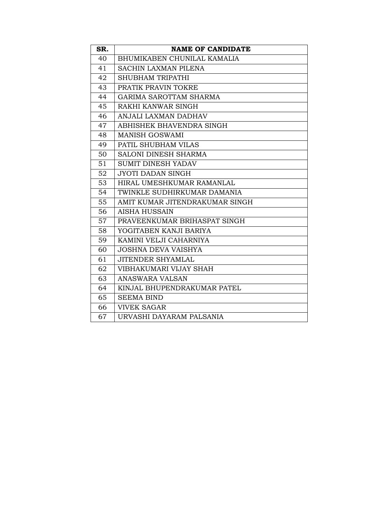| SR. | <b>NAME OF CANDIDATE</b>       |
|-----|--------------------------------|
| 40  | BHUMIKABEN CHUNILAL KAMALIA    |
| 41  | <b>SACHIN LAXMAN PILENA</b>    |
| 42  | <b>SHUBHAM TRIPATHI</b>        |
| 43  | PRATIK PRAVIN TOKRE            |
| 44  | <b>GARIMA SAROTTAM SHARMA</b>  |
| 45  | RAKHI KANWAR SINGH             |
| 46  | ANJALI LAXMAN DADHAV           |
| 47  | ABHISHEK BHAVENDRA SINGH       |
| 48  | <b>MANISH GOSWAMI</b>          |
| 49  | PATIL SHUBHAM VILAS            |
| 50  | SALONI DINESH SHARMA           |
| 51  | <b>SUMIT DINESH YADAV</b>      |
| 52  | <b>JYOTI DADAN SINGH</b>       |
| 53  | HIRAL UMESHKUMAR RAMANLAL      |
| 54  | TWINKLE SUDHIRKUMAR DAMANIA    |
| 55  | AMIT KUMAR JITENDRAKUMAR SINGH |
| 56  | AISHA HUSSAIN                  |
| 57  | PRAVEENKUMAR BRIHASPAT SINGH   |
| 58  | YOGITABEN KANJI BARIYA         |
| 59  | KAMINI VELJI CAHARNIYA         |
| 60  | <b>JOSHNA DEVA VAISHYA</b>     |
| 61  | <b>JITENDER SHYAMLAL</b>       |
| 62  | VIBHAKUMARI VIJAY SHAH         |
| 63  | <b>ANASWARA VALSAN</b>         |
| 64  | KINJAL BHUPENDRAKUMAR PATEL    |
| 65  | <b>SEEMA BIND</b>              |
| 66  | <b>VIVEK SAGAR</b>             |
| 67  | URVASHI DAYARAM PALSANIA       |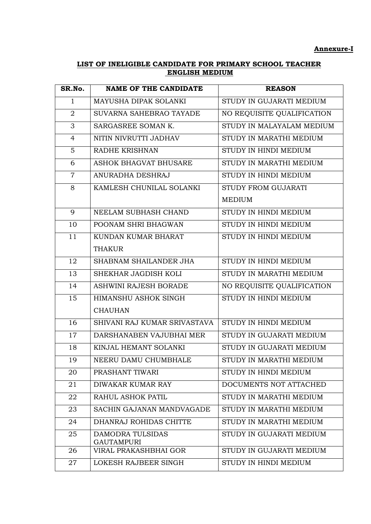### **Annexure-I**

## **LIST OF INELIGIBLE CANDIDATE FOR PRIMARY SCHOOL TEACHER ENGLISH MEDIUM**

| SR.No.         | <b>NAME OF THE CANDIDATE</b>               | <b>REASON</b>              |  |
|----------------|--------------------------------------------|----------------------------|--|
| $\mathbf{1}$   | MAYUSHA DIPAK SOLANKI                      | STUDY IN GUJARATI MEDIUM   |  |
| $\overline{2}$ | SUVARNA SAHEBRAO TAYADE                    | NO REQUISITE QUALIFICATION |  |
| 3              | SARGASREE SOMAN K.                         | STUDY IN MALAYALAM MEDIUM  |  |
| 4              | NITIN NIVRUTTI JADHAV                      | STUDY IN MARATHI MEDIUM    |  |
| 5              | RADHE KRISHNAN                             | STUDY IN HINDI MEDIUM      |  |
| 6              | ASHOK BHAGVAT BHUSARE                      | STUDY IN MARATHI MEDIUM    |  |
| $\overline{7}$ | ANURADHA DESHRAJ                           | STUDY IN HINDI MEDIUM      |  |
| 8              | KAMLESH CHUNILAL SOLANKI                   | STUDY FROM GUJARATI        |  |
|                |                                            | <b>MEDIUM</b>              |  |
| 9              | NEELAM SUBHASH CHAND                       | STUDY IN HINDI MEDIUM      |  |
| 10             | POONAM SHRI BHAGWAN                        | STUDY IN HINDI MEDIUM      |  |
| 11             | KUNDAN KUMAR BHARAT                        | STUDY IN HINDI MEDIUM      |  |
|                | <b>THAKUR</b>                              |                            |  |
| 12             | SHABNAM SHAILANDER JHA                     | STUDY IN HINDI MEDIUM      |  |
| 13             | SHEKHAR JAGDISH KOLI                       | STUDY IN MARATHI MEDIUM    |  |
| 14             | ASHWINI RAJESH BORADE                      | NO REQUISITE QUALIFICATION |  |
| 15             | HIMANSHU ASHOK SINGH                       | STUDY IN HINDI MEDIUM      |  |
|                | <b>CHAUHAN</b>                             |                            |  |
| 16             | SHIVANI RAJ KUMAR SRIVASTAVA               | STUDY IN HINDI MEDIUM      |  |
| 17             | DARSHANABEN VAJUBHAI MER                   | STUDY IN GUJARATI MEDIUM   |  |
| 18             | KINJAL HEMANT SOLANKI                      | STUDY IN GUJARATI MEDIUM   |  |
| 19             | NEERU DAMU CHUMBHALE                       | STUDY IN MARATHI MEDIUM    |  |
| 20             | PRASHANT TIWARI                            | STUDY IN HINDI MEDIUM      |  |
| 21             | <b>DIWAKAR KUMAR RAY</b>                   | DOCUMENTS NOT ATTACHED     |  |
| 22             | RAHUL ASHOK PATIL                          | STUDY IN MARATHI MEDIUM    |  |
| 23             | SACHIN GAJANAN MANDVAGADE                  | STUDY IN MARATHI MEDIUM    |  |
| 24             | DHANRAJ ROHIDAS CHITTE                     | STUDY IN MARATHI MEDIUM    |  |
| 25             | DAMODRA TULSIDAS                           | STUDY IN GUJARATI MEDIUM   |  |
| 26             | <b>GAUTAMPURI</b><br>VIRAL PRAKASHBHAI GOR | STUDY IN GUJARATI MEDIUM   |  |
| 27             | LOKESH RAJBEER SINGH                       | STUDY IN HINDI MEDIUM      |  |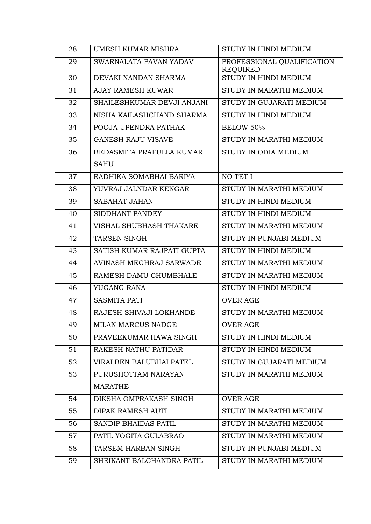| 28 | UMESH KUMAR MISHRA             | STUDY IN HINDI MEDIUM                         |
|----|--------------------------------|-----------------------------------------------|
| 29 | SWARNALATA PAVAN YADAV         | PROFESSIONAL QUALIFICATION<br><b>REQUIRED</b> |
| 30 | DEVAKI NANDAN SHARMA           | STUDY IN HINDI MEDIUM                         |
| 31 | <b>AJAY RAMESH KUWAR</b>       | STUDY IN MARATHI MEDIUM                       |
| 32 | SHAILESHKUMAR DEVJI ANJANI     | STUDY IN GUJARATI MEDIUM                      |
| 33 | NISHA KAILASHCHAND SHARMA      | STUDY IN HINDI MEDIUM                         |
| 34 | POOJA UPENDRA PATHAK           | <b>BELOW 50%</b>                              |
| 35 | <b>GANESH RAJU VISAVE</b>      | STUDY IN MARATHI MEDIUM                       |
| 36 | BEDASMITA PRAFULLA KUMAR       | STUDY IN ODIA MEDIUM                          |
|    | <b>SAHU</b>                    |                                               |
| 37 | RADHIKA SOMABHAI BARIYA        | NO TET I                                      |
| 38 | YUVRAJ JALNDAR KENGAR          | STUDY IN MARATHI MEDIUM                       |
| 39 | <b>SABAHAT JAHAN</b>           | STUDY IN HINDI MEDIUM                         |
| 40 | SIDDHANT PANDEY                | STUDY IN HINDI MEDIUM                         |
| 41 | VISHAL SHUBHASH THAKARE        | STUDY IN MARATHI MEDIUM                       |
| 42 | <b>TARSEN SINGH</b>            | STUDY IN PUNJABI MEDIUM                       |
| 43 | SATISH KUMAR RAJPATI GUPTA     | STUDY IN HINDI MEDIUM                         |
| 44 | AVINASH MEGHRAJ SARWADE        | STUDY IN MARATHI MEDIUM                       |
| 45 | RAMESH DAMU CHUMBHALE          | STUDY IN MARATHI MEDIUM                       |
| 46 | YUGANG RANA                    | STUDY IN HINDI MEDIUM                         |
| 47 | <b>SASMITA PATI</b>            | <b>OVER AGE</b>                               |
| 48 | RAJESH SHIVAJI LOKHANDE        | STUDY IN MARATHI MEDIUM                       |
| 49 | MILAN MARCUS NADGE             | OVER AGE                                      |
| 50 | PRAVEEKUMAR HAWA SINGH         | STUDY IN HINDI MEDIUM                         |
| 51 | RAKESH NATHU PATIDAR           | STUDY IN HINDI MEDIUM                         |
| 52 | <b>VIRALBEN BALUBHAI PATEL</b> | STUDY IN GUJARATI MEDIUM                      |
| 53 | PURUSHOTTAM NARAYAN            | STUDY IN MARATHI MEDIUM                       |
|    | <b>MARATHE</b>                 |                                               |
| 54 | DIKSHA OMPRAKASH SINGH         | <b>OVER AGE</b>                               |
| 55 | DIPAK RAMESH AUTI              | STUDY IN MARATHI MEDIUM                       |
| 56 | <b>SANDIP BHAIDAS PATIL</b>    | STUDY IN MARATHI MEDIUM                       |
| 57 | PATIL YOGITA GULABRAO          | STUDY IN MARATHI MEDIUM                       |
| 58 | TARSEM HARBAN SINGH            | STUDY IN PUNJABI MEDIUM                       |
| 59 | SHRIKANT BALCHANDRA PATIL      | STUDY IN MARATHI MEDIUM                       |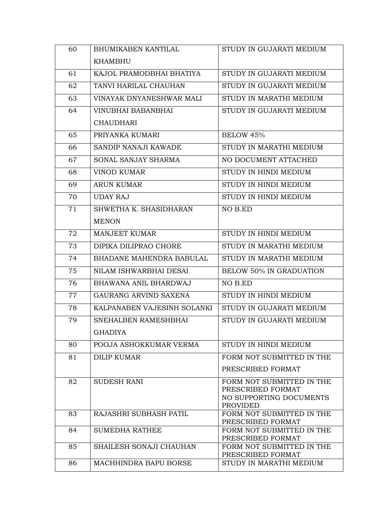| 60 | <b>BHUMIKABEN KANTILAL</b>   | STUDY IN GUJARATI MEDIUM                       |
|----|------------------------------|------------------------------------------------|
|    | <b>KHAMBHU</b>               |                                                |
| 61 | KAJOL PRAMODBHAI BHATIYA     | STUDY IN GUJARATI MEDIUM                       |
| 62 | TANVI HARILAL CHAUHAN        | STUDY IN GUJARATI MEDIUM                       |
| 63 | VINAYAK DNYANESHWAR MALI     | STUDY IN MARATHI MEDIUM                        |
| 64 | VINUBHAI BABANBHAI           | STUDY IN GUJARATI MEDIUM                       |
|    | <b>CHAUDHARI</b>             |                                                |
| 65 | PRIYANKA KUMARI              | BELOW 45%                                      |
| 66 | SANDIP NANAJI KAWADE         | STUDY IN MARATHI MEDIUM                        |
| 67 | SONAL SANJAY SHARMA          | NO DOCUMENT ATTACHED                           |
| 68 | <b>VINOD KUMAR</b>           | STUDY IN HINDI MEDIUM                          |
| 69 | <b>ARUN KUMAR</b>            | STUDY IN HINDI MEDIUM                          |
| 70 | <b>UDAY RAJ</b>              | STUDY IN HINDI MEDIUM                          |
| 71 | SHWETHA K. SHASIDHARAN       | NO B.ED                                        |
|    | <b>MENON</b>                 |                                                |
| 72 | <b>MANJEET KUMAR</b>         | STUDY IN HINDI MEDIUM                          |
| 73 | DIPIKA DILIPRAO CHORE        | STUDY IN MARATHI MEDIUM                        |
| 74 | BHADANE MAHENDRA BABULAL     | STUDY IN MARATHI MEDIUM                        |
| 75 | NILAM ISHWARBHAI DESAI       | <b>BELOW 50% IN GRADUATION</b>                 |
| 76 | <b>BHAWANA ANIL BHARDWAJ</b> | NO B.ED                                        |
| 77 | GAURANG ARVIND SAXENA        | STUDY IN HINDI MEDIUM                          |
| 78 | KALPANABEN VAJESINH SOLANKI  | STUDY IN GUJARATI MEDIUM                       |
| 79 | SNEHALBEN RAMESHBHAI         | STUDY IN GUJARATI MEDIUM                       |
|    | <b>GHADIYA</b>               |                                                |
| 80 | POOJA ASHOKKUMAR VERMA       | STUDY IN HINDI MEDIUM                          |
| 81 | <b>DILIP KUMAR</b>           | FORM NOT SUBMITTED IN THE                      |
|    |                              | PRESCRIBED FORMAT                              |
| 82 | <b>SUDESH RANI</b>           | FORM NOT SUBMITTED IN THE                      |
|    |                              | PRESCRIBED FORMAT<br>NO SUPPORTING DOCUMENTS   |
|    |                              | <b>PROVIDED</b>                                |
| 83 | RAJASHRI SUBHASH PATIL       | FORM NOT SUBMITTED IN THE<br>PRESCRIBED FORMAT |
| 84 | <b>SUMEDHA RATHEE</b>        | FORM NOT SUBMITTED IN THE                      |
| 85 | SHAILESH SONAJI CHAUHAN      | PRESCRIBED FORMAT<br>FORM NOT SUBMITTED IN THE |
|    |                              | PRESCRIBED FORMAT                              |
| 86 | MACHHINDRA BAPU BORSE        | STUDY IN MARATHI MEDIUM                        |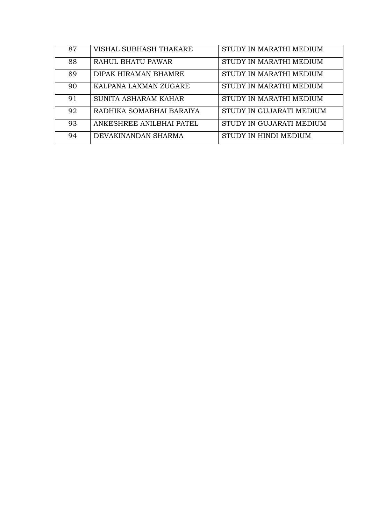| 87 | VISHAL SUBHASH THAKARE   | STUDY IN MARATHI MEDIUM  |
|----|--------------------------|--------------------------|
| 88 | RAHUL BHATU PAWAR        | STUDY IN MARATHI MEDIUM  |
| 89 | DIPAK HIRAMAN BHAMRE     | STUDY IN MARATHI MEDIUM  |
| 90 | KALPANA LAXMAN ZUGARE    | STUDY IN MARATHI MEDIUM  |
| 91 | SUNITA ASHARAM KAHAR     | STUDY IN MARATHI MEDIUM  |
| 92 | RADHIKA SOMABHAI BARAIYA | STUDY IN GUJARATI MEDIUM |
| 93 | ANKESHREE ANILBHAI PATEL | STUDY IN GUJARATI MEDIUM |
| 94 | DEVAKINANDAN SHARMA      | STUDY IN HINDI MEDIUM    |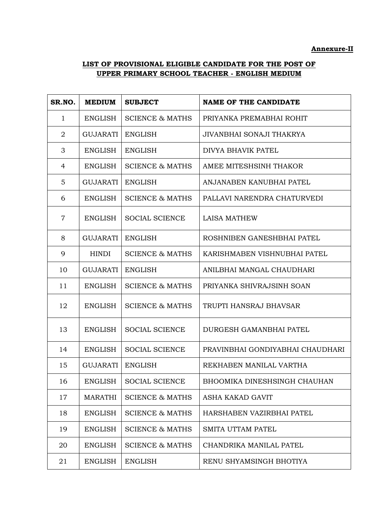# **LIST OF PROVISIONAL ELIGIBLE CANDIDATE FOR THE POST OF UPPER PRIMARY SCHOOL TEACHER - ENGLISH MEDIUM**

| SR.NO.         | <b>MEDIUM</b>   | <b>SUBJECT</b>             | <b>NAME OF THE CANDIDATE</b>     |
|----------------|-----------------|----------------------------|----------------------------------|
| $\mathbf{1}$   | <b>ENGLISH</b>  | <b>SCIENCE &amp; MATHS</b> | PRIYANKA PREMABHAI ROHIT         |
| $\overline{2}$ | <b>GUJARATI</b> | <b>ENGLISH</b>             | JIVANBHAI SONAJI THAKRYA         |
| 3              | <b>ENGLISH</b>  | <b>ENGLISH</b>             | DIVYA BHAVIK PATEL               |
| 4              | <b>ENGLISH</b>  | <b>SCIENCE &amp; MATHS</b> | AMEE MITESHSINH THAKOR           |
| 5              | GUJARATI        | <b>ENGLISH</b>             | ANJANABEN KANUBHAI PATEL         |
| 6              | <b>ENGLISH</b>  | <b>SCIENCE &amp; MATHS</b> | PALLAVI NARENDRA CHATURVEDI      |
| $\overline{7}$ | <b>ENGLISH</b>  | <b>SOCIAL SCIENCE</b>      | <b>LAISA MATHEW</b>              |
| 8              | GUJARATI        | <b>ENGLISH</b>             | ROSHNIBEN GANESHBHAI PATEL       |
| 9              | <b>HINDI</b>    | <b>SCIENCE &amp; MATHS</b> | KARISHMABEN VISHNUBHAI PATEL     |
| 10             | GUJARATI        | <b>ENGLISH</b>             | ANILBHAI MANGAL CHAUDHARI        |
| 11             | <b>ENGLISH</b>  | <b>SCIENCE &amp; MATHS</b> | PRIYANKA SHIVRAJSINH SOAN        |
| 12             | <b>ENGLISH</b>  | <b>SCIENCE &amp; MATHS</b> | TRUPTI HANSRAJ BHAVSAR           |
| 13             | <b>ENGLISH</b>  | <b>SOCIAL SCIENCE</b>      | DURGESH GAMANBHAI PATEL          |
| 14             | <b>ENGLISH</b>  | <b>SOCIAL SCIENCE</b>      | PRAVINBHAI GONDIYABHAI CHAUDHARI |
| 15             | GUJARATI        | <b>ENGLISH</b>             | REKHABEN MANILAL VARTHA          |
| 16             | <b>ENGLISH</b>  | <b>SOCIAL SCIENCE</b>      | BHOOMIKA DINESHSINGH CHAUHAN     |
| 17             | <b>MARATHI</b>  | <b>SCIENCE &amp; MATHS</b> | ASHA KAKAD GAVIT                 |
| 18             | <b>ENGLISH</b>  | <b>SCIENCE &amp; MATHS</b> | HARSHABEN VAZIRBHAI PATEL        |
| 19             | <b>ENGLISH</b>  | <b>SCIENCE &amp; MATHS</b> | <b>SMITA UTTAM PATEL</b>         |
| 20             | <b>ENGLISH</b>  | <b>SCIENCE &amp; MATHS</b> | CHANDRIKA MANILAL PATEL          |
| 21             | <b>ENGLISH</b>  | <b>ENGLISH</b>             | RENU SHYAMSINGH BHOTIYA          |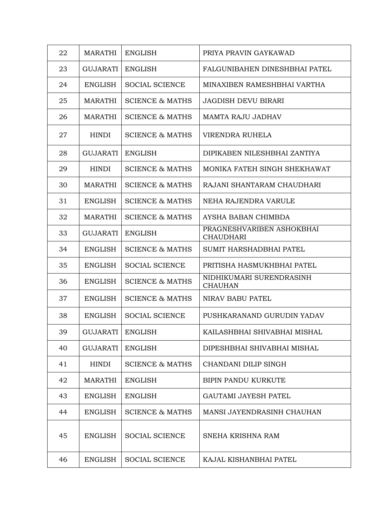| 22 | <b>MARATHI</b>  | <b>ENGLISH</b>             | PRIYA PRAVIN GAYKAWAD                         |
|----|-----------------|----------------------------|-----------------------------------------------|
| 23 | <b>GUJARATI</b> | <b>ENGLISH</b>             | FALGUNIBAHEN DINESHBHAI PATEL                 |
| 24 | <b>ENGLISH</b>  | <b>SOCIAL SCIENCE</b>      | MINAXIBEN RAMESHBHAI VARTHA                   |
| 25 | <b>MARATHI</b>  | <b>SCIENCE &amp; MATHS</b> | <b>JAGDISH DEVU BIRARI</b>                    |
| 26 | <b>MARATHI</b>  | <b>SCIENCE &amp; MATHS</b> | MAMTA RAJU JADHAV                             |
| 27 | <b>HINDI</b>    | <b>SCIENCE &amp; MATHS</b> | VIRENDRA RUHELA                               |
| 28 | <b>GUJARATI</b> | <b>ENGLISH</b>             | DIPIKABEN NILESHBHAI ZANTIYA                  |
| 29 | <b>HINDI</b>    | <b>SCIENCE &amp; MATHS</b> | MONIKA FATEH SINGH SHEKHAWAT                  |
| 30 | <b>MARATHI</b>  | <b>SCIENCE &amp; MATHS</b> | RAJANI SHANTARAM CHAUDHARI                    |
| 31 | ENGLISH         | <b>SCIENCE &amp; MATHS</b> | NEHA RAJENDRA VARULE                          |
| 32 | <b>MARATHI</b>  | <b>SCIENCE &amp; MATHS</b> | AYSHA BABAN CHIMBDA                           |
| 33 | <b>GUJARATI</b> | <b>ENGLISH</b>             | PRAGNESHVARIBEN ASHOKBHAI<br><b>CHAUDHARI</b> |
| 34 | ENGLISH         | <b>SCIENCE &amp; MATHS</b> | SUMIT HARSHADBHAI PATEL                       |
| 35 | <b>ENGLISH</b>  | <b>SOCIAL SCIENCE</b>      | PRITISHA HASMUKHBHAI PATEL                    |
| 36 | <b>ENGLISH</b>  | <b>SCIENCE &amp; MATHS</b> | NIDHIKUMARI SURENDRASINH<br><b>CHAUHAN</b>    |
| 37 | ENGLISH         | <b>SCIENCE &amp; MATHS</b> | NIRAV BABU PATEL                              |
| 38 | <b>ENGLISH</b>  | <b>SOCIAL SCIENCE</b>      | PUSHKARANAND GURUDIN YADAV                    |
| 39 | <b>GUJARATI</b> | <b>ENGLISH</b>             | KAILASHBHAI SHIVABHAI MISHAL                  |
| 40 | <b>GUJARATI</b> | <b>ENGLISH</b>             | DIPESHBHAI SHIVABHAI MISHAL                   |
| 41 | <b>HINDI</b>    | <b>SCIENCE &amp; MATHS</b> | CHANDANI DILIP SINGH                          |
| 42 | <b>MARATHI</b>  | <b>ENGLISH</b>             | <b>BIPIN PANDU KURKUTE</b>                    |
| 43 | <b>ENGLISH</b>  | <b>ENGLISH</b>             | <b>GAUTAMI JAYESH PATEL</b>                   |
| 44 | <b>ENGLISH</b>  | <b>SCIENCE &amp; MATHS</b> | MANSI JAYENDRASINH CHAUHAN                    |
| 45 | <b>ENGLISH</b>  | <b>SOCIAL SCIENCE</b>      | SNEHA KRISHNA RAM                             |
| 46 | <b>ENGLISH</b>  | <b>SOCIAL SCIENCE</b>      | KAJAL KISHANBHAI PATEL                        |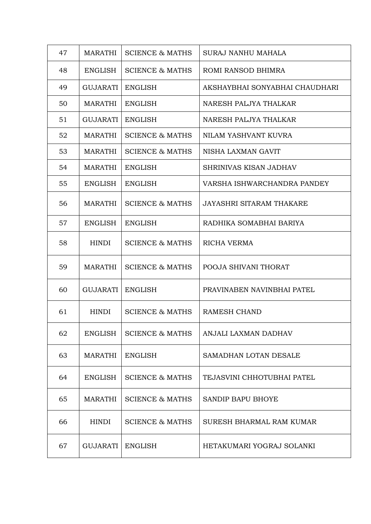| 47 | <b>MARATHI</b>  | <b>SCIENCE &amp; MATHS</b> | SURAJ NANHU MAHALA              |
|----|-----------------|----------------------------|---------------------------------|
| 48 | <b>ENGLISH</b>  | <b>SCIENCE &amp; MATHS</b> | ROMI RANSOD BHIMRA              |
| 49 | GUJARATI        | <b>ENGLISH</b>             | AKSHAYBHAI SONYABHAI CHAUDHARI  |
| 50 | <b>MARATHI</b>  | <b>ENGLISH</b>             | NARESH PALJYA THALKAR           |
| 51 | <b>GUJARATI</b> | <b>ENGLISH</b>             | NARESH PALJYA THALKAR           |
| 52 | <b>MARATHI</b>  | <b>SCIENCE &amp; MATHS</b> | NILAM YASHVANT KUVRA            |
| 53 | <b>MARATHI</b>  | <b>SCIENCE &amp; MATHS</b> | NISHA LAXMAN GAVIT              |
| 54 | MARATHI         | <b>ENGLISH</b>             | SHRINIVAS KISAN JADHAV          |
| 55 | <b>ENGLISH</b>  | <b>ENGLISH</b>             | VARSHA ISHWARCHANDRA PANDEY     |
| 56 | <b>MARATHI</b>  | <b>SCIENCE &amp; MATHS</b> | <b>JAYASHRI SITARAM THAKARE</b> |
| 57 | <b>ENGLISH</b>  | <b>ENGLISH</b>             | RADHIKA SOMABHAI BARIYA         |
| 58 | <b>HINDI</b>    | <b>SCIENCE &amp; MATHS</b> | <b>RICHA VERMA</b>              |
| 59 | MARATHI         | <b>SCIENCE &amp; MATHS</b> | POOJA SHIVANI THORAT            |
| 60 | <b>GUJARATI</b> | <b>ENGLISH</b>             | PRAVINABEN NAVINBHAI PATEL      |
| 61 | HINDI           | <b>SCIENCE &amp; MATHS</b> | RAMESH CHAND                    |
| 62 | <b>ENGLISH</b>  | <b>SCIENCE &amp; MATHS</b> | ANJALI LAXMAN DADHAV            |
| 63 | <b>MARATHI</b>  | <b>ENGLISH</b>             | SAMADHAN LOTAN DESALE           |
| 64 | <b>ENGLISH</b>  | <b>SCIENCE &amp; MATHS</b> | TEJASVINI CHHOTUBHAI PATEL      |
| 65 | <b>MARATHI</b>  | <b>SCIENCE &amp; MATHS</b> | SANDIP BAPU BHOYE               |
| 66 | <b>HINDI</b>    | <b>SCIENCE &amp; MATHS</b> | SURESH BHARMAL RAM KUMAR        |
| 67 | <b>GUJARATI</b> | <b>ENGLISH</b>             | HETAKUMARI YOGRAJ SOLANKI       |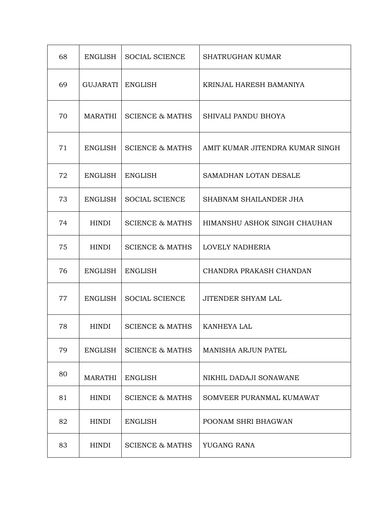| 68 | <b>ENGLISH</b>  | <b>SOCIAL SCIENCE</b>      | <b>SHATRUGHAN KUMAR</b>         |
|----|-----------------|----------------------------|---------------------------------|
| 69 | <b>GUJARATI</b> | <b>ENGLISH</b>             | KRINJAL HARESH BAMANIYA         |
| 70 | <b>MARATHI</b>  | <b>SCIENCE &amp; MATHS</b> | SHIVALI PANDU BHOYA             |
| 71 | <b>ENGLISH</b>  | <b>SCIENCE &amp; MATHS</b> | AMIT KUMAR JITENDRA KUMAR SINGH |
| 72 | <b>ENGLISH</b>  | <b>ENGLISH</b>             | SAMADHAN LOTAN DESALE           |
| 73 | <b>ENGLISH</b>  | <b>SOCIAL SCIENCE</b>      | SHABNAM SHAILANDER JHA          |
| 74 | <b>HINDI</b>    | <b>SCIENCE &amp; MATHS</b> | HIMANSHU ASHOK SINGH CHAUHAN    |
| 75 | <b>HINDI</b>    | <b>SCIENCE &amp; MATHS</b> | LOVELY NADHERIA                 |
| 76 | <b>ENGLISH</b>  | <b>ENGLISH</b>             | CHANDRA PRAKASH CHANDAN         |
| 77 | <b>ENGLISH</b>  | <b>SOCIAL SCIENCE</b>      | <b>JITENDER SHYAM LAL</b>       |
| 78 | <b>HINDI</b>    | <b>SCIENCE &amp; MATHS</b> | KANHEYA LAL                     |
| 79 | <b>ENGLISH</b>  | <b>SCIENCE &amp; MATHS</b> | <b>MANISHA ARJUN PATEL</b>      |
| 80 | <b>MARATHI</b>  | <b>ENGLISH</b>             | NIKHIL DADAJI SONAWANE          |
| 81 | <b>HINDI</b>    | <b>SCIENCE &amp; MATHS</b> | SOMVEER PURANMAL KUMAWAT        |
| 82 | <b>HINDI</b>    | <b>ENGLISH</b>             | POONAM SHRI BHAGWAN             |
| 83 | <b>HINDI</b>    | <b>SCIENCE &amp; MATHS</b> | YUGANG RANA                     |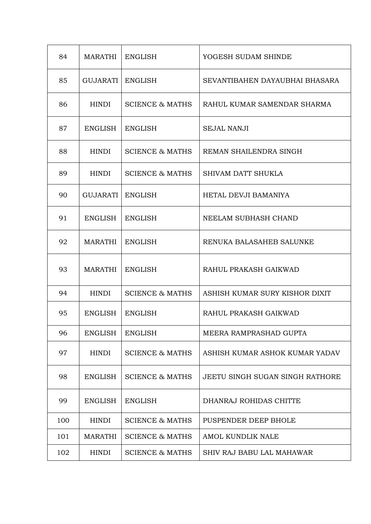| 84  | <b>MARATHI</b>  | <b>ENGLISH</b>             | YOGESH SUDAM SHINDE              |
|-----|-----------------|----------------------------|----------------------------------|
| 85  | <b>GUJARATI</b> | <b>ENGLISH</b>             | SEVANTIBAHEN DAYAUBHAI BHASARA   |
| 86  | <b>HINDI</b>    | <b>SCIENCE &amp; MATHS</b> | RAHUL KUMAR SAMENDAR SHARMA      |
| 87  | <b>ENGLISH</b>  | <b>ENGLISH</b>             | <b>SEJAL NANJI</b>               |
| 88  | <b>HINDI</b>    | <b>SCIENCE &amp; MATHS</b> | REMAN SHAILENDRA SINGH           |
| 89  | <b>HINDI</b>    | <b>SCIENCE &amp; MATHS</b> | <b>SHIVAM DATT SHUKLA</b>        |
| 90  | <b>GUJARATI</b> | <b>ENGLISH</b>             | HETAL DEVJI BAMANIYA             |
| 91  | <b>ENGLISH</b>  | <b>ENGLISH</b>             | NEELAM SUBHASH CHAND             |
| 92  | <b>MARATHI</b>  | <b>ENGLISH</b>             | RENUKA BALASAHEB SALUNKE         |
| 93  | <b>MARATHI</b>  | <b>ENGLISH</b>             | RAHUL PRAKASH GAIKWAD            |
| 94  | <b>HINDI</b>    | <b>SCIENCE &amp; MATHS</b> | ASHISH KUMAR SURY KISHOR DIXIT   |
| 95  | ENGLISH         | <b>ENGLISH</b>             | RAHUL PRAKASH GAIKWAD            |
| 96  | <b>ENGLISH</b>  | <b>ENGLISH</b>             | MEERA RAMPRASHAD GUPTA           |
| 97  | <b>HINDI</b>    | <b>SCIENCE &amp; MATHS</b> | ASHISH KUMAR ASHOK KUMAR YADAV   |
| 98  | <b>ENGLISH</b>  | <b>SCIENCE &amp; MATHS</b> | JEETU SINGH SUGAN SINGH RATHORE  |
| 99  | <b>ENGLISH</b>  | <b>ENGLISH</b>             | DHANRAJ ROHIDAS CHITTE           |
| 100 | <b>HINDI</b>    | <b>SCIENCE &amp; MATHS</b> | PUSPENDER DEEP BHOLE             |
| 101 | <b>MARATHI</b>  | <b>SCIENCE &amp; MATHS</b> | AMOL KUNDLIK NALE                |
| 102 | <b>HINDI</b>    | <b>SCIENCE &amp; MATHS</b> | <b>SHIV RAJ BABU LAL MAHAWAR</b> |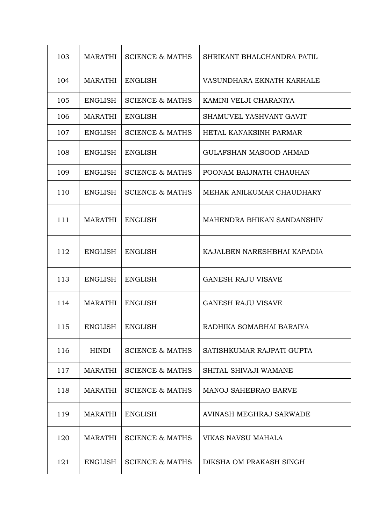| 103 | MARATHI        | <b>SCIENCE &amp; MATHS</b> | SHRIKANT BHALCHANDRA PATIL    |  |
|-----|----------------|----------------------------|-------------------------------|--|
| 104 | <b>MARATHI</b> | <b>ENGLISH</b>             | VASUNDHARA EKNATH KARHALE     |  |
| 105 | <b>ENGLISH</b> | <b>SCIENCE &amp; MATHS</b> | KAMINI VELJI CHARANIYA        |  |
| 106 | MARATHI        | <b>ENGLISH</b>             | SHAMUVEL YASHVANT GAVIT       |  |
| 107 | <b>ENGLISH</b> | <b>SCIENCE &amp; MATHS</b> | HETAL KANAKSINH PARMAR        |  |
| 108 | <b>ENGLISH</b> | <b>ENGLISH</b>             | <b>GULAFSHAN MASOOD AHMAD</b> |  |
| 109 | <b>ENGLISH</b> | <b>SCIENCE &amp; MATHS</b> | POONAM BALJNATH CHAUHAN       |  |
| 110 | <b>ENGLISH</b> | <b>SCIENCE &amp; MATHS</b> | MEHAK ANILKUMAR CHAUDHARY     |  |
| 111 | <b>MARATHI</b> | <b>ENGLISH</b>             | MAHENDRA BHIKAN SANDANSHIV    |  |
| 112 | ENGLISH        | <b>ENGLISH</b>             | KAJALBEN NARESHBHAI KAPADIA   |  |
| 113 | <b>ENGLISH</b> | <b>ENGLISH</b>             | <b>GANESH RAJU VISAVE</b>     |  |
| 114 | <b>MARATHI</b> | <b>ENGLISH</b>             | <b>GANESH RAJU VISAVE</b>     |  |
| 115 | <b>ENGLISH</b> | <b>ENGLISH</b>             | RADHIKA SOMABHAI BARAIYA      |  |
| 116 | HINDI          | <b>SCIENCE &amp; MATHS</b> | SATISHKUMAR RAJPATI GUPTA     |  |
| 117 | <b>MARATHI</b> | <b>SCIENCE &amp; MATHS</b> | SHITAL SHIVAJI WAMANE         |  |
| 118 | <b>MARATHI</b> | <b>SCIENCE &amp; MATHS</b> | MANOJ SAHEBRAO BARVE          |  |
| 119 | <b>MARATHI</b> | <b>ENGLISH</b>             | AVINASH MEGHRAJ SARWADE       |  |
| 120 | <b>MARATHI</b> | <b>SCIENCE &amp; MATHS</b> | VIKAS NAVSU MAHALA            |  |
| 121 | <b>ENGLISH</b> | <b>SCIENCE &amp; MATHS</b> | DIKSHA OM PRAKASH SINGH       |  |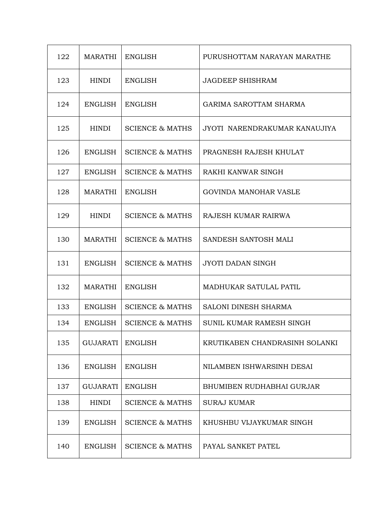| 122 | <b>MARATHI</b>  | <b>ENGLISH</b>             | PURUSHOTTAM NARAYAN MARATHE    |  |
|-----|-----------------|----------------------------|--------------------------------|--|
| 123 | <b>HINDI</b>    | <b>ENGLISH</b>             | <b>JAGDEEP SHISHRAM</b>        |  |
| 124 | <b>ENGLISH</b>  | <b>ENGLISH</b>             | <b>GARIMA SAROTTAM SHARMA</b>  |  |
| 125 | <b>HINDI</b>    | <b>SCIENCE &amp; MATHS</b> | JYOTI NARENDRAKUMAR KANAUJIYA  |  |
| 126 | <b>ENGLISH</b>  | <b>SCIENCE &amp; MATHS</b> | PRAGNESH RAJESH KHULAT         |  |
| 127 | <b>ENGLISH</b>  | <b>SCIENCE &amp; MATHS</b> | RAKHI KANWAR SINGH             |  |
| 128 | <b>MARATHI</b>  | <b>ENGLISH</b>             | <b>GOVINDA MANOHAR VASLE</b>   |  |
| 129 | <b>HINDI</b>    | <b>SCIENCE &amp; MATHS</b> | RAJESH KUMAR RAIRWA            |  |
| 130 | <b>MARATHI</b>  | <b>SCIENCE &amp; MATHS</b> | SANDESH SANTOSH MALI           |  |
| 131 | <b>ENGLISH</b>  | <b>SCIENCE &amp; MATHS</b> | <b>JYOTI DADAN SINGH</b>       |  |
| 132 | <b>MARATHI</b>  | <b>ENGLISH</b>             | <b>MADHUKAR SATULAL PATIL</b>  |  |
| 133 | <b>ENGLISH</b>  | <b>SCIENCE &amp; MATHS</b> | <b>SALONI DINESH SHARMA</b>    |  |
| 134 | <b>ENGLISH</b>  | <b>SCIENCE &amp; MATHS</b> | SUNIL KUMAR RAMESH SINGH       |  |
| 135 | <b>GUJARATI</b> | <b>ENGLISH</b>             | KRUTIKABEN CHANDRASINH SOLANKI |  |
| 136 | <b>ENGLISH</b>  | <b>ENGLISH</b>             | NILAMBEN ISHWARSINH DESAI      |  |
| 137 | <b>GUJARATI</b> | <b>ENGLISH</b>             | BHUMIBEN RUDHABHAI GURJAR      |  |
| 138 | <b>HINDI</b>    | <b>SCIENCE &amp; MATHS</b> | <b>SURAJ KUMAR</b>             |  |
| 139 | <b>ENGLISH</b>  | <b>SCIENCE &amp; MATHS</b> | KHUSHBU VIJAYKUMAR SINGH       |  |
| 140 | <b>ENGLISH</b>  | <b>SCIENCE &amp; MATHS</b> | PAYAL SANKET PATEL             |  |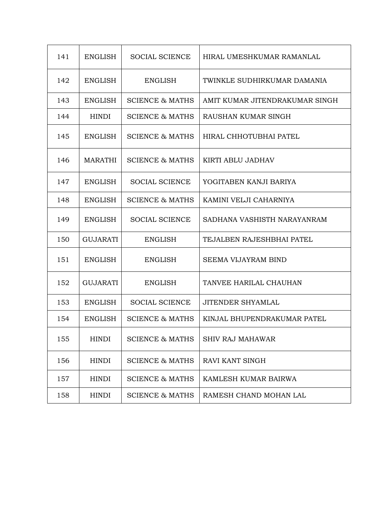| 141 | <b>ENGLISH</b>  | <b>SOCIAL SCIENCE</b>      | HIRAL UMESHKUMAR RAMANLAL      |  |
|-----|-----------------|----------------------------|--------------------------------|--|
| 142 | <b>ENGLISH</b>  | <b>ENGLISH</b>             | TWINKLE SUDHIRKUMAR DAMANIA    |  |
| 143 | <b>ENGLISH</b>  | <b>SCIENCE &amp; MATHS</b> | AMIT KUMAR JITENDRAKUMAR SINGH |  |
| 144 | <b>HINDI</b>    | <b>SCIENCE &amp; MATHS</b> | RAUSHAN KUMAR SINGH            |  |
| 145 | <b>ENGLISH</b>  | <b>SCIENCE &amp; MATHS</b> | HIRAL CHHOTUBHAI PATEL         |  |
| 146 | <b>MARATHI</b>  | <b>SCIENCE &amp; MATHS</b> | KIRTI ABLU JADHAV              |  |
| 147 | <b>ENGLISH</b>  | <b>SOCIAL SCIENCE</b>      | YOGITABEN KANJI BARIYA         |  |
| 148 | <b>ENGLISH</b>  | <b>SCIENCE &amp; MATHS</b> | KAMINI VELJI CAHARNIYA         |  |
| 149 | <b>ENGLISH</b>  | <b>SOCIAL SCIENCE</b>      | SADHANA VASHISTH NARAYANRAM    |  |
| 150 | <b>GUJARATI</b> | <b>ENGLISH</b>             | TEJALBEN RAJESHBHAI PATEL      |  |
| 151 | <b>ENGLISH</b>  | <b>ENGLISH</b>             | <b>SEEMA VIJAYRAM BIND</b>     |  |
| 152 | <b>GUJARATI</b> | ENGLISH                    | TANVEE HARILAL CHAUHAN         |  |
| 153 | <b>ENGLISH</b>  | <b>SOCIAL SCIENCE</b>      | <b>JITENDER SHYAMLAL</b>       |  |
| 154 | <b>ENGLISH</b>  | <b>SCIENCE &amp; MATHS</b> | KINJAL BHUPENDRAKUMAR PATEL    |  |
| 155 | <b>HINDI</b>    | <b>SCIENCE &amp; MATHS</b> | SHIV RAJ MAHAWAR               |  |
| 156 | <b>HINDI</b>    | <b>SCIENCE &amp; MATHS</b> | RAVI KANT SINGH                |  |
| 157 | <b>HINDI</b>    | <b>SCIENCE &amp; MATHS</b> | KAMLESH KUMAR BAIRWA           |  |
| 158 | <b>HINDI</b>    | <b>SCIENCE &amp; MATHS</b> | RAMESH CHAND MOHAN LAL         |  |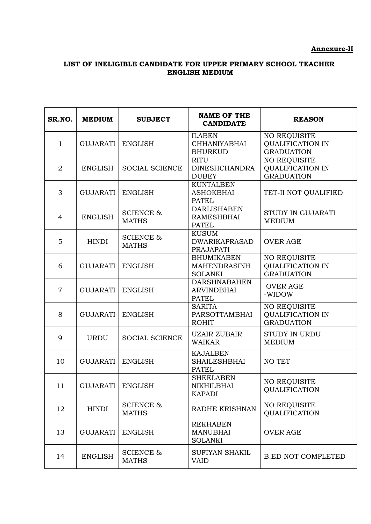#### **Annexure-II**

# **LIST OF INELIGIBLE CANDIDATE FOR UPPER PRIMARY SCHOOL TEACHER ENGLISH MEDIUM**

| SR.NO.         | <b>MEDIUM</b>             | <b>SUBJECT</b>                       | <b>NAME OF THE</b><br><b>CANDIDATE</b>                     | <b>REASON</b>                                                       |
|----------------|---------------------------|--------------------------------------|------------------------------------------------------------|---------------------------------------------------------------------|
| $\mathbf{1}$   | GUJARATI                  | <b>ENGLISH</b>                       | <b>ILABEN</b><br><b>CHHANIYABHAI</b><br><b>BHURKUD</b>     | <b>NO REQUISITE</b><br><b>QUALIFICATION IN</b><br><b>GRADUATION</b> |
| $\overline{2}$ | <b>ENGLISH</b>            | <b>SOCIAL SCIENCE</b>                | <b>RITU</b><br><b>DINESHCHANDRA</b><br><b>DUBEY</b>        | <b>NO REQUISITE</b><br><b>QUALIFICATION IN</b><br><b>GRADUATION</b> |
| 3              | <b>GUJARATI</b>           | <b>ENGLISH</b>                       | <b>KUNTALBEN</b><br><b>ASHOKBHAI</b><br><b>PATEL</b>       | TET-II NOT QUALIFIED                                                |
| $\overline{4}$ | <b>ENGLISH</b>            | <b>SCIENCE &amp;</b><br><b>MATHS</b> | <b>DARLISHABEN</b><br><b>RAMESHBHAI</b><br><b>PATEL</b>    | STUDY IN GUJARATI<br><b>MEDIUM</b>                                  |
| 5              | <b>HINDI</b>              | <b>SCIENCE &amp;</b><br><b>MATHS</b> | <b>KUSUM</b><br><b>DWARIKAPRASAD</b><br><b>PRAJAPATI</b>   | <b>OVER AGE</b>                                                     |
| 6              | <b>GUJARATI</b>           | <b>ENGLISH</b>                       | <b>BHUMIKABEN</b><br><b>MAHENDRASINH</b><br><b>SOLANKI</b> | NO REQUISITE<br><b>QUALIFICATION IN</b><br><b>GRADUATION</b>        |
| $\overline{7}$ | <b>GUJARATI</b>           | <b>ENGLISH</b>                       | <b>DARSHNABAHEN</b><br><b>ARVINDBHAI</b><br><b>PATEL</b>   | <b>OVER AGE</b><br>-WIDOW                                           |
| 8              | <b>GUJARATI</b>           | <b>ENGLISH</b>                       | <b>SARITA</b><br><b>PARSOTTAMBHAI</b><br><b>ROHIT</b>      | NO REQUISITE<br><b>QUALIFICATION IN</b><br><b>GRADUATION</b>        |
| 9              | <b>URDU</b>               | <b>SOCIAL SCIENCE</b>                | <b>UZAIR ZUBAIR</b><br><b>WAIKAR</b>                       | <b>STUDY IN URDU</b><br><b>MEDIUM</b>                               |
| 10             | <b>GUJARATI</b>           | <b>ENGLISH</b>                       | <b>KAJALBEN</b><br><b>SHAILESHBHAI</b><br><b>PATEL</b>     | NO TET                                                              |
| 11             | <b>GUJARATI   ENGLISH</b> |                                      | <b>SHEELABEN</b><br>NIKHILBHAI<br><b>KAPADI</b>            | <b>NO REQUISITE</b><br><b>QUALIFICATION</b>                         |
| 12             | <b>HINDI</b>              | <b>SCIENCE &amp;</b><br><b>MATHS</b> | <b>RADHE KRISHNAN</b>                                      | <b>NO REQUISITE</b><br><b>QUALIFICATION</b>                         |
| 13             | <b>GUJARATI</b>           | <b>ENGLISH</b>                       | <b>REKHABEN</b><br><b>MANUBHAI</b><br><b>SOLANKI</b>       | <b>OVER AGE</b>                                                     |
| 14             | <b>ENGLISH</b>            | <b>SCIENCE &amp;</b><br><b>MATHS</b> | <b>SUFIYAN SHAKIL</b><br><b>VAID</b>                       | <b>B.ED NOT COMPLETED</b>                                           |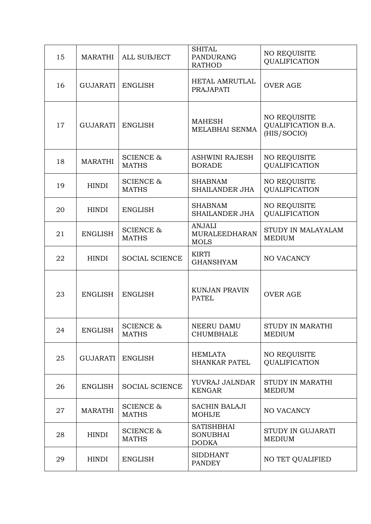| 15 | <b>MARATHI</b> | <b>ALL SUBJECT</b>                   | <b>SHITAL</b><br><b>PANDURANG</b><br><b>RATHOD</b>   | <b>NO REQUISITE</b><br>QUALIFICATION                            |
|----|----------------|--------------------------------------|------------------------------------------------------|-----------------------------------------------------------------|
| 16 | GUJARATI       | <b>ENGLISH</b>                       | <b>HETAL AMRUTLAL</b><br><b>PRAJAPATI</b>            | <b>OVER AGE</b>                                                 |
| 17 | GUJARATI       | <b>ENGLISH</b>                       | <b>MAHESH</b><br>MELABHAI SENMA                      | <b>NO REQUISITE</b><br><b>QUALIFICATION B.A.</b><br>(HIS/SOCIO) |
| 18 | <b>MARATHI</b> | <b>SCIENCE &amp;</b><br><b>MATHS</b> | <b>ASHWINI RAJESH</b><br><b>BORADE</b>               | <b>NO REQUISITE</b><br>QUALIFICATION                            |
| 19 | <b>HINDI</b>   | <b>SCIENCE &amp;</b><br><b>MATHS</b> | <b>SHABNAM</b><br><b>SHAILANDER JHA</b>              | <b>NO REQUISITE</b><br>QUALIFICATION                            |
| 20 | <b>HINDI</b>   | <b>ENGLISH</b>                       | <b>SHABNAM</b><br>SHAILANDER JHA                     | <b>NO REQUISITE</b><br>QUALIFICATION                            |
| 21 | <b>ENGLISH</b> | <b>SCIENCE &amp;</b><br><b>MATHS</b> | <b>ANJALI</b><br><b>MURALEEDHARAN</b><br><b>MOLS</b> | STUDY IN MALAYALAM<br><b>MEDIUM</b>                             |
| 22 | <b>HINDI</b>   | <b>SOCIAL SCIENCE</b>                | <b>KIRTI</b><br><b>GHANSHYAM</b>                     | NO VACANCY                                                      |
| 23 | <b>ENGLISH</b> | <b>ENGLISH</b>                       | <b>KUNJAN PRAVIN</b><br><b>PATEL</b>                 | <b>OVER AGE</b>                                                 |
| 24 | <b>ENGLISH</b> | <b>SCIENCE &amp;</b><br><b>MATHS</b> | <b>NEERU DAMU</b><br><b>CHUMBHALE</b>                | STUDY IN MARATHI<br><b>MEDIUM</b>                               |
| 25 | GUJARATI       | <b>ENGLISH</b>                       | <b>HEMLATA</b><br><b>SHANKAR PATEL</b>               | <b>NO REQUISITE</b><br><b>QUALIFICATION</b>                     |
| 26 | <b>ENGLISH</b> | <b>SOCIAL SCIENCE</b>                | YUVRAJ JALNDAR<br><b>KENGAR</b>                      | STUDY IN MARATHI<br><b>MEDIUM</b>                               |
| 27 | <b>MARATHI</b> | <b>SCIENCE &amp;</b><br><b>MATHS</b> | <b>SACHIN BALAJI</b><br><b>MOHIJE</b>                | NO VACANCY                                                      |
| 28 | <b>HINDI</b>   | <b>SCIENCE &amp;</b><br><b>MATHS</b> | <b>SATISHBHAI</b><br><b>SONUBHAI</b><br><b>DODKA</b> | STUDY IN GUJARATI<br><b>MEDIUM</b>                              |
| 29 | <b>HINDI</b>   | <b>ENGLISH</b>                       | <b>SIDDHANT</b><br><b>PANDEY</b>                     | <b>NO TET QUALIFIED</b>                                         |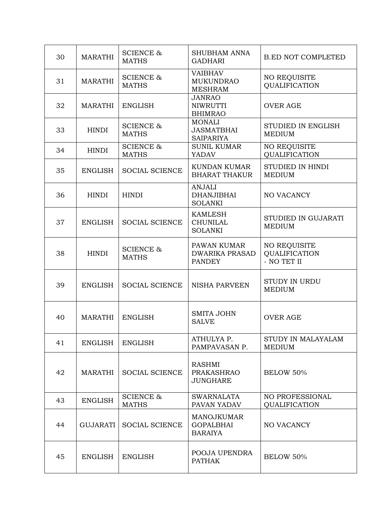| 30 | <b>MARATHI</b>  | <b>SCIENCE &amp;</b><br><b>MATHS</b> | <b>SHUBHAM ANNA</b><br><b>GADHARI</b>                   | <b>B.ED NOT COMPLETED</b>                                  |
|----|-----------------|--------------------------------------|---------------------------------------------------------|------------------------------------------------------------|
| 31 | <b>MARATHI</b>  | <b>SCIENCE &amp;</b><br><b>MATHS</b> | <b>VAIBHAV</b><br><b>MUKUNDRAO</b><br><b>MESHRAM</b>    | <b>NO REQUISITE</b><br><b>OUALIFICATION</b>                |
| 32 | <b>MARATHI</b>  | <b>ENGLISH</b>                       | <b>JANRAO</b><br><b>NIWRUTTI</b><br><b>BHIMRAO</b>      | <b>OVER AGE</b>                                            |
| 33 | <b>HINDI</b>    | <b>SCIENCE &amp;</b><br><b>MATHS</b> | <b>MONALI</b><br><b>JASMATBHAI</b><br><b>SAIPARIYA</b>  | <b>STUDIED IN ENGLISH</b><br><b>MEDIUM</b>                 |
| 34 | <b>HINDI</b>    | <b>SCIENCE &amp;</b><br><b>MATHS</b> | <b>SUNIL KUMAR</b><br>YADAV                             | <b>NO REQUISITE</b><br>QUALIFICATION                       |
| 35 | <b>ENGLISH</b>  | <b>SOCIAL SCIENCE</b>                | <b>KUNDAN KUMAR</b><br><b>BHARAT THAKUR</b>             | STUDIED IN HINDI<br><b>MEDIUM</b>                          |
| 36 | <b>HINDI</b>    | <b>HINDI</b>                         | <b>ANJALI</b><br><b>DHANJIBHAI</b><br><b>SOLANKI</b>    | <b>NO VACANCY</b>                                          |
| 37 | <b>ENGLISH</b>  | <b>SOCIAL SCIENCE</b>                | <b>KAMLESH</b><br><b>CHUNILAL</b><br><b>SOLANKI</b>     | <b>STUDIED IN GUJARATI</b><br><b>MEDIUM</b>                |
| 38 | <b>HINDI</b>    | <b>SCIENCE &amp;</b><br><b>MATHS</b> | PAWAN KUMAR<br><b>DWARIKA PRASAD</b><br><b>PANDEY</b>   | <b>NO REQUISITE</b><br><b>QUALIFICATION</b><br>- NO TET II |
| 39 | <b>ENGLISH</b>  | <b>SOCIAL SCIENCE</b>                | <b>NISHA PARVEEN</b>                                    | <b>STUDY IN URDU</b><br><b>MEDIUM</b>                      |
| 40 | <b>MARATHI</b>  | <b>ENGLISH</b>                       | <b>SMITA JOHN</b><br><b>SALVE</b>                       | <b>OVER AGE</b>                                            |
| 41 | <b>ENGLISH</b>  | <b>ENGLISH</b>                       | ATHULYA P.<br>PAMPAVASAN P.                             | STUDY IN MALAYALAM<br><b>MEDIUM</b>                        |
| 42 | <b>MARATHI</b>  | <b>SOCIAL SCIENCE</b>                | <b>RASHMI</b><br><b>PRAKASHRAO</b><br><b>JUNGHARE</b>   | <b>BELOW 50%</b>                                           |
| 43 | <b>ENGLISH</b>  | <b>SCIENCE &amp;</b><br><b>MATHS</b> | <b>SWARNALATA</b><br>PAVAN YADAV                        | NO PROFESSIONAL<br><b>QUALIFICATION</b>                    |
| 44 | <b>GUJARATI</b> | <b>SOCIAL SCIENCE</b>                | <b>MANOJKUMAR</b><br><b>GOPALBHAI</b><br><b>BARAIYA</b> | NO VACANCY                                                 |
| 45 | <b>ENGLISH</b>  | <b>ENGLISH</b>                       | POOJA UPENDRA<br><b>PATHAK</b>                          | <b>BELOW 50%</b>                                           |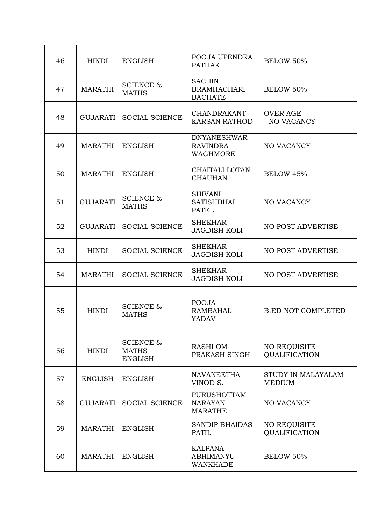| 46 | <b>HINDI</b>    | <b>ENGLISH</b>                                         | POOJA UPENDRA<br><b>PATHAK</b>                         | BELOW 50%                                   |
|----|-----------------|--------------------------------------------------------|--------------------------------------------------------|---------------------------------------------|
| 47 | <b>MARATHI</b>  | <b>SCIENCE &amp;</b><br><b>MATHS</b>                   | <b>SACHIN</b><br><b>BRAMHACHARI</b><br><b>BACHATE</b>  | BELOW 50%                                   |
| 48 | GUJARATI        | <b>SOCIAL SCIENCE</b>                                  | <b>CHANDRAKANT</b><br><b>KARSAN RATHOD</b>             | <b>OVER AGE</b><br>- NO VACANCY             |
| 49 | <b>MARATHI</b>  | <b>ENGLISH</b>                                         | <b>DNYANESHWAR</b><br><b>RAVINDRA</b><br>WAGHMORE      | NO VACANCY                                  |
| 50 | <b>MARATHI</b>  | <b>ENGLISH</b>                                         | CHAITALI LOTAN<br><b>CHAUHAN</b>                       | <b>BELOW 45%</b>                            |
| 51 | <b>GUJARATI</b> | <b>SCIENCE &amp;</b><br><b>MATHS</b>                   | <b>SHIVANI</b><br><b>SATISHBHAI</b><br><b>PATEL</b>    | NO VACANCY                                  |
| 52 | GUJARATI        | <b>SOCIAL SCIENCE</b>                                  | <b>SHEKHAR</b><br><b>JAGDISH KOLI</b>                  | NO POST ADVERTISE                           |
| 53 | <b>HINDI</b>    | <b>SOCIAL SCIENCE</b>                                  | <b>SHEKHAR</b><br><b>JAGDISH KOLI</b>                  | NO POST ADVERTISE                           |
| 54 | <b>MARATHI</b>  | <b>SOCIAL SCIENCE</b>                                  | <b>SHEKHAR</b><br><b>JAGDISH KOLI</b>                  | NO POST ADVERTISE                           |
| 55 | <b>HINDI</b>    | <b>SCIENCE &amp;</b><br><b>MATHS</b>                   | <b>POOJA</b><br><b>RAMBAHAL</b><br><b>YADAV</b>        | <b>B.ED NOT COMPLETED</b>                   |
| 56 | <b>HINDI</b>    | <b>SCIENCE &amp;</b><br><b>MATHS</b><br><b>ENGLISH</b> | RASHI OM<br>PRAKASH SINGH                              | <b>NO REQUISITE</b><br><b>QUALIFICATION</b> |
| 57 | <b>ENGLISH</b>  | <b>ENGLISH</b>                                         | <b>NAVANEETHA</b><br>VINOD S.                          | STUDY IN MALAYALAM<br><b>MEDIUM</b>         |
| 58 | GUJARATI        | <b>SOCIAL SCIENCE</b>                                  | <b>PURUSHOTTAM</b><br><b>NARAYAN</b><br><b>MARATHE</b> | NO VACANCY                                  |
| 59 | <b>MARATHI</b>  | <b>ENGLISH</b>                                         | <b>SANDIP BHAIDAS</b><br><b>PATIL</b>                  | NO REQUISITE<br>QUALIFICATION               |
| 60 | <b>MARATHI</b>  | <b>ENGLISH</b>                                         | <b>KALPANA</b><br><b>ABHIMANYU</b><br><b>WANKHADE</b>  | BELOW 50%                                   |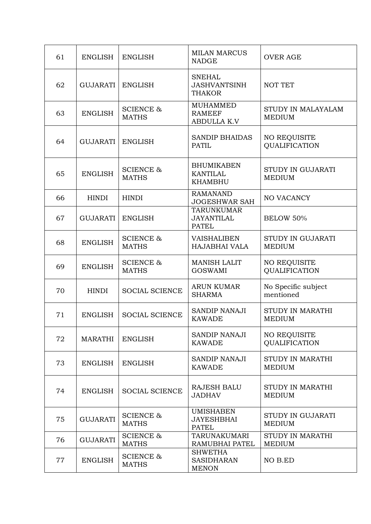| 61 | <b>ENGLISH</b>  | <b>ENGLISH</b>                       | <b>MILAN MARCUS</b><br><b>NADGE</b>                    | <b>OVER AGE</b>                             |
|----|-----------------|--------------------------------------|--------------------------------------------------------|---------------------------------------------|
| 62 | GUJARATI        | <b>ENGLISH</b>                       | <b>SNEHAL</b><br><b>JASHVANTSINH</b><br><b>THAKOR</b>  | <b>NOT TET</b>                              |
| 63 | <b>ENGLISH</b>  | <b>SCIENCE &amp;</b><br><b>MATHS</b> | <b>MUHAMMED</b><br><b>RAMEEF</b><br><b>ABDULLA K.V</b> | STUDY IN MALAYALAM<br><b>MEDIUM</b>         |
| 64 | GUJARATI        | <b>ENGLISH</b>                       | <b>SANDIP BHAIDAS</b><br><b>PATIL</b>                  | <b>NO REQUISITE</b><br>QUALIFICATION        |
| 65 | <b>ENGLISH</b>  | <b>SCIENCE &amp;</b><br><b>MATHS</b> | <b>BHUMIKABEN</b><br><b>KANTILAL</b><br><b>KHAMBHU</b> | STUDY IN GUJARATI<br><b>MEDIUM</b>          |
| 66 | <b>HINDI</b>    | <b>HINDI</b>                         | <b>RAMANAND</b><br><b>JOGESHWAR SAH</b>                | <b>NO VACANCY</b>                           |
| 67 | GUJARATI        | <b>ENGLISH</b>                       | <b>TARUNKUMAR</b><br><b>JAYANTILAL</b><br><b>PATEL</b> | BELOW 50%                                   |
| 68 | <b>ENGLISH</b>  | <b>SCIENCE &amp;</b><br><b>MATHS</b> | <b>VAISHALIBEN</b><br><b>HAJABHAI VALA</b>             | <b>STUDY IN GUJARATI</b><br><b>MEDIUM</b>   |
| 69 | <b>ENGLISH</b>  | <b>SCIENCE &amp;</b><br><b>MATHS</b> | <b>MANISH LALIT</b><br><b>GOSWAMI</b>                  | <b>NO REQUISITE</b><br>QUALIFICATION        |
| 70 | <b>HINDI</b>    | <b>SOCIAL SCIENCE</b>                | <b>ARUN KUMAR</b><br><b>SHARMA</b>                     | No Specific subject<br>mentioned            |
| 71 | <b>ENGLISH</b>  | <b>SOCIAL SCIENCE</b>                | <b>SANDIP NANAJI</b><br><b>KAWADE</b>                  | <b>STUDY IN MARATHI</b><br><b>MEDIUM</b>    |
| 72 | <b>MARATHI</b>  | <b>ENGLISH</b>                       | SANDIP NANAJI<br><b>KAWADE</b>                         | <b>NO REQUISITE</b><br><b>QUALIFICATION</b> |
| 73 | <b>ENGLISH</b>  | <b>ENGLISH</b>                       | <b>SANDIP NANAJI</b><br><b>KAWADE</b>                  | STUDY IN MARATHI<br><b>MEDIUM</b>           |
| 74 | <b>ENGLISH</b>  | <b>SOCIAL SCIENCE</b>                | <b>RAJESH BALU</b><br><b>JADHAV</b>                    | STUDY IN MARATHI<br><b>MEDIUM</b>           |
| 75 | <b>GUJARATI</b> | <b>SCIENCE &amp;</b><br><b>MATHS</b> | <b>UMISHABEN</b><br><b>JAYESHBHAI</b><br><b>PATEL</b>  | <b>STUDY IN GUJARATI</b><br><b>MEDIUM</b>   |
| 76 | <b>GUJARATI</b> | <b>SCIENCE &amp;</b><br><b>MATHS</b> | <b>TARUNAKUMARI</b><br><b>RAMUBHAI PATEL</b>           | STUDY IN MARATHI<br><b>MEDIUM</b>           |
| 77 | <b>ENGLISH</b>  | <b>SCIENCE &amp;</b><br><b>MATHS</b> | <b>SHWETHA</b><br><b>SASIDHARAN</b><br><b>MENON</b>    | NO B.ED                                     |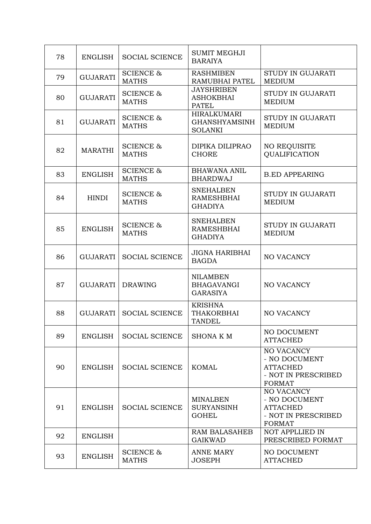| 78 | <b>ENGLISH</b>  | <b>SOCIAL SCIENCE</b>                | <b>SUMIT MEGHJI</b><br><b>BARAIYA</b>                        |                                                                                               |
|----|-----------------|--------------------------------------|--------------------------------------------------------------|-----------------------------------------------------------------------------------------------|
| 79 | <b>GUJARATI</b> | <b>SCIENCE &amp;</b><br><b>MATHS</b> | <b>RASHMIBEN</b><br><b>RAMUBHAI PATEL</b>                    | STUDY IN GUJARATI<br><b>MEDIUM</b>                                                            |
| 80 | <b>GUJARATI</b> | <b>SCIENCE &amp;</b><br><b>MATHS</b> | <b>JAYSHRIBEN</b><br><b>ASHOKBHAI</b><br><b>PATEL</b>        | STUDY IN GUJARATI<br><b>MEDIUM</b>                                                            |
| 81 | <b>GUJARATI</b> | <b>SCIENCE &amp;</b><br><b>MATHS</b> | <b>HIRALKUMARI</b><br><b>GHANSHYAMSINH</b><br><b>SOLANKI</b> | STUDY IN GUJARATI<br><b>MEDIUM</b>                                                            |
| 82 | <b>MARATHI</b>  | <b>SCIENCE &amp;</b><br><b>MATHS</b> | DIPIKA DILIPRAO<br><b>CHORE</b>                              | <b>NO REQUISITE</b><br><b>QUALIFICATION</b>                                                   |
| 83 | <b>ENGLISH</b>  | <b>SCIENCE &amp;</b><br><b>MATHS</b> | <b>BHAWANA ANIL</b><br><b>BHARDWAJ</b>                       | <b>B.ED APPEARING</b>                                                                         |
| 84 | <b>HINDI</b>    | <b>SCIENCE &amp;</b><br><b>MATHS</b> | <b>SNEHALBEN</b><br><b>RAMESHBHAI</b><br><b>GHADIYA</b>      | <b>STUDY IN GUJARATI</b><br><b>MEDIUM</b>                                                     |
| 85 | <b>ENGLISH</b>  | <b>SCIENCE &amp;</b><br><b>MATHS</b> | <b>SNEHALBEN</b><br><b>RAMESHBHAI</b><br><b>GHADIYA</b>      | STUDY IN GUJARATI<br><b>MEDIUM</b>                                                            |
| 86 | <b>GUJARATI</b> | <b>SOCIAL SCIENCE</b>                | <b>JIGNA HARIBHAI</b><br><b>BAGDA</b>                        | <b>NO VACANCY</b>                                                                             |
| 87 | GUJARATI        | <b>DRAWING</b>                       | <b>NILAMBEN</b><br><b>BHAGAVANGI</b><br><b>GARASIYA</b>      | <b>NO VACANCY</b>                                                                             |
| 88 | GUJARATI        | <b>SOCIAL SCIENCE</b>                | <b>KRISHNA</b><br><b>THAKORBHAI</b><br><b>TANDEL</b>         | <b>NO VACANCY</b>                                                                             |
| 89 | <b>ENGLISH</b>  | <b>SOCIAL SCIENCE</b>                | <b>SHONAKM</b>                                               | NO DOCUMENT<br><b>ATTACHED</b>                                                                |
| 90 | <b>ENGLISH</b>  | <b>SOCIAL SCIENCE</b>                | <b>KOMAL</b>                                                 | <b>NO VACANCY</b><br>- NO DOCUMENT<br><b>ATTACHED</b><br>- NOT IN PRESCRIBED<br><b>FORMAT</b> |
| 91 | <b>ENGLISH</b>  | <b>SOCIAL SCIENCE</b>                | <b>MINALBEN</b><br><b>SURYANSINH</b><br><b>GOHEL</b>         | NO VACANCY<br>- NO DOCUMENT<br><b>ATTACHED</b><br>- NOT IN PRESCRIBED<br><b>FORMAT</b>        |
| 92 | <b>ENGLISH</b>  |                                      | <b>RAM BALASAHEB</b><br><b>GAIKWAD</b>                       | <b>NOT APPLLIED IN</b><br>PRESCRIBED FORMAT                                                   |
| 93 | <b>ENGLISH</b>  | <b>SCIENCE &amp;</b><br><b>MATHS</b> | <b>ANNE MARY</b><br><b>JOSEPH</b>                            | NO DOCUMENT<br><b>ATTACHED</b>                                                                |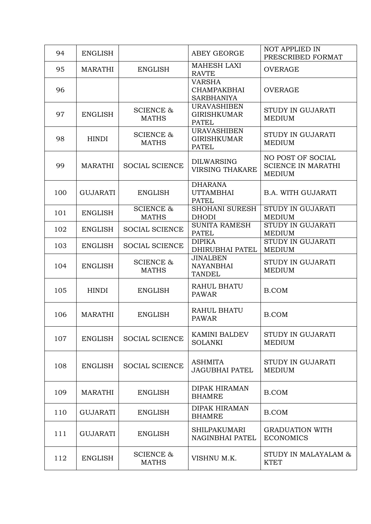| 94  | <b>ENGLISH</b>  |                                      | ABEY GEORGE                                              | <b>NOT APPLIED IN</b><br>PRESCRIBED FORMAT                      |
|-----|-----------------|--------------------------------------|----------------------------------------------------------|-----------------------------------------------------------------|
| 95  | <b>MARATHI</b>  | <b>ENGLISH</b>                       | <b>MAHESH LAXI</b><br><b>RAVTE</b>                       | <b>OVERAGE</b>                                                  |
| 96  |                 |                                      | <b>VARSHA</b><br><b>CHAMPAKBHAI</b><br><b>SARBHANIYA</b> | <b>OVERAGE</b>                                                  |
| 97  | <b>ENGLISH</b>  | <b>SCIENCE &amp;</b><br><b>MATHS</b> | <b>URAVASHIBEN</b><br><b>GIRISHKUMAR</b><br><b>PATEL</b> | <b>STUDY IN GUJARATI</b><br><b>MEDIUM</b>                       |
| 98  | <b>HINDI</b>    | <b>SCIENCE &amp;</b><br><b>MATHS</b> | <b>URAVASHIBEN</b><br><b>GIRISHKUMAR</b><br><b>PATEL</b> | <b>STUDY IN GUJARATI</b><br><b>MEDIUM</b>                       |
| 99  | <b>MARATHI</b>  | <b>SOCIAL SCIENCE</b>                | <b>DILWARSING</b><br><b>VIRSING THAKARE</b>              | NO POST OF SOCIAL<br><b>SCIENCE IN MARATHI</b><br><b>MEDIUM</b> |
| 100 | <b>GUJARATI</b> | <b>ENGLISH</b>                       | <b>DHARANA</b><br><b>UTTAMBHAI</b><br><b>PATEL</b>       | <b>B.A. WITH GUJARATI</b>                                       |
| 101 | <b>ENGLISH</b>  | <b>SCIENCE &amp;</b><br><b>MATHS</b> | <b>SHOHANI SURESH</b><br><b>DHODI</b>                    | <b>STUDY IN GUJARATI</b><br><b>MEDIUM</b>                       |
| 102 | <b>ENGLISH</b>  | <b>SOCIAL SCIENCE</b>                | <b>SUNITA RAMESH</b><br><b>PATEL</b>                     | <b>STUDY IN GUJARATI</b><br><b>MEDIUM</b>                       |
| 103 | <b>ENGLISH</b>  | <b>SOCIAL SCIENCE</b>                | <b>DIPIKA</b><br><b>DHIRUBHAI PATEL</b>                  | STUDY IN GUJARATI<br><b>MEDIUM</b>                              |
| 104 | <b>ENGLISH</b>  | <b>SCIENCE &amp;</b><br><b>MATHS</b> | <b>JINALBEN</b><br><b>NAYANBHAI</b><br><b>TANDEL</b>     | <b>STUDY IN GUJARATI</b><br><b>MEDIUM</b>                       |
| 105 | <b>HINDI</b>    | <b>ENGLISH</b>                       | <b>RAHUL BHATU</b><br><b>PAWAR</b>                       | B.COM                                                           |
| 106 | <b>MARATHI</b>  | <b>ENGLISH</b>                       | <b>RAHUL BHATU</b><br><b>PAWAR</b>                       | B.COM                                                           |
| 107 | <b>ENGLISH</b>  | <b>SOCIAL SCIENCE</b>                | <b>KAMINI BALDEV</b><br><b>SOLANKI</b>                   | <b>STUDY IN GUJARATI</b><br><b>MEDIUM</b>                       |
| 108 | <b>ENGLISH</b>  | <b>SOCIAL SCIENCE</b>                | <b>ASHMITA</b><br><b>JAGUBHAI PATEL</b>                  | STUDY IN GUJARATI<br><b>MEDIUM</b>                              |
| 109 | <b>MARATHI</b>  | <b>ENGLISH</b>                       | <b>DIPAK HIRAMAN</b><br><b>BHAMRE</b>                    | <b>B.COM</b>                                                    |
| 110 | <b>GUJARATI</b> | <b>ENGLISH</b>                       | <b>DIPAK HIRAMAN</b><br><b>BHAMRE</b>                    | B.COM                                                           |
| 111 | <b>GUJARATI</b> | <b>ENGLISH</b>                       | <b>SHILPAKUMARI</b><br>NAGINBHAI PATEL                   | <b>GRADUATION WITH</b><br><b>ECONOMICS</b>                      |
| 112 | <b>ENGLISH</b>  | <b>SCIENCE &amp;</b><br><b>MATHS</b> | VISHNU M.K.                                              | STUDY IN MALAYALAM &<br><b>KTET</b>                             |